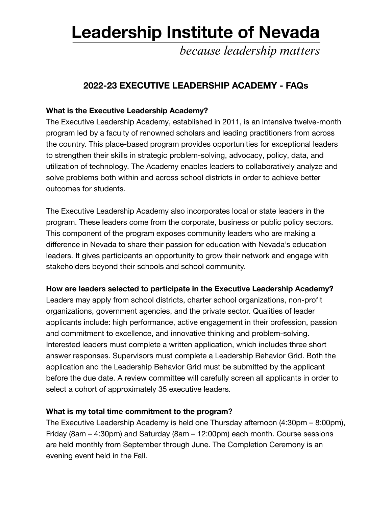# **Leadership Institute of Nevada**

because leadership matters

# **2022-23 EXECUTIVE LEADERSHIP ACADEMY - FAQs**

# **What is the Executive Leadership Academy?**

The Executive Leadership Academy, established in 2011, is an intensive twelve-month program led by a faculty of renowned scholars and leading practitioners from across the country. This place-based program provides opportunities for exceptional leaders to strengthen their skills in strategic problem-solving, advocacy, policy, data, and utilization of technology. The Academy enables leaders to collaboratively analyze and solve problems both within and across school districts in order to achieve better outcomes for students.

The Executive Leadership Academy also incorporates local or state leaders in the program. These leaders come from the corporate, business or public policy sectors. This component of the program exposes community leaders who are making a difference in Nevada to share their passion for education with Nevada's education leaders. It gives participants an opportunity to grow their network and engage with stakeholders beyond their schools and school community.

# **How are leaders selected to participate in the Executive Leadership Academy?**

Leaders may apply from school districts, charter school organizations, non-profit organizations, government agencies, and the private sector. Qualities of leader applicants include: high performance, active engagement in their profession, passion and commitment to excellence, and innovative thinking and problem-solving. Interested leaders must complete a written application, which includes three short answer responses. Supervisors must complete a Leadership Behavior Grid. Both the application and the Leadership Behavior Grid must be submitted by the applicant before the due date. A review committee will carefully screen all applicants in order to select a cohort of approximately 35 executive leaders.

#### **What is my total time commitment to the program?**

The Executive Leadership Academy is held one Thursday afternoon (4:30pm – 8:00pm), Friday (8am – 4:30pm) and Saturday (8am – 12:00pm) each month. Course sessions are held monthly from September through June. The Completion Ceremony is an evening event held in the Fall.